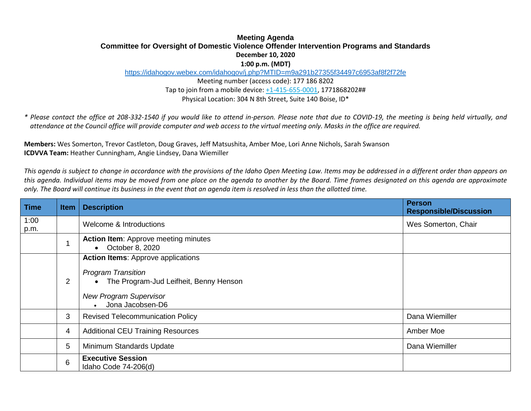## **Meeting Agenda Committee for Oversight of Domestic Violence Offender Intervention Programs and Standards December 10, 2020 1:00 p.m. (MDT)**

<https://idahogov.webex.com/idahogov/j.php?MTID=m9a291b27355f34497c6953af8f2f72fe>

Meeting number (access code): 177 186 8202 Tap to join from a mobile device[: +1-415-655-0001,](tel:+1-415-655-0001,,*01*286476544##*01*) 1771868202## Physical Location: 304 N 8th Street, Suite 140 Boise, ID\*

*\* Please contact the office at 208-332-1540 if you would like to attend in-person. Please note that due to COVID-19, the meeting is being held virtually, and attendance at the Council office will provide computer and web access to the virtual meeting only. Masks in the office are required.*

**Members:** Wes Somerton, Trevor Castleton, Doug Graves, Jeff Matsushita, Amber Moe, Lori Anne Nichols, Sarah Swanson **ICDVVA Team:** Heather Cunningham, Angie Lindsey, Dana Wiemiller

*This agenda is subject to change in accordance with the provisions of the Idaho Open Meeting Law. Items may be addressed in a different order than appears on this agenda. Individual items may be moved from one place on the agenda to another by the Board. Time frames designated on this agenda are approximate only. The Board will continue its business in the event that an agenda item is resolved in less than the allotted time.*

| Time         | <b>Item</b>    | <b>Description</b>                                                                                                                                                                              | <b>Person</b><br><b>Responsible/Discussion</b> |
|--------------|----------------|-------------------------------------------------------------------------------------------------------------------------------------------------------------------------------------------------|------------------------------------------------|
| 1:00<br>p.m. |                | Welcome & Introductions                                                                                                                                                                         | Wes Somerton, Chair                            |
|              |                | <b>Action Item:</b> Approve meeting minutes<br>October 8, 2020<br>$\bullet$                                                                                                                     |                                                |
|              | $\overline{2}$ | <b>Action Items: Approve applications</b><br><b>Program Transition</b><br>The Program-Jud Leifheit, Benny Henson<br>$\bullet$<br><b>New Program Supervisor</b><br>Jona Jacobsen-D6<br>$\bullet$ |                                                |
|              | 3              | <b>Revised Telecommunication Policy</b>                                                                                                                                                         | Dana Wiemiller                                 |
|              | 4              | <b>Additional CEU Training Resources</b>                                                                                                                                                        | Amber Moe                                      |
|              | 5              | Minimum Standards Update                                                                                                                                                                        | Dana Wiemiller                                 |
|              | $6\phantom{1}$ | <b>Executive Session</b><br>Idaho Code 74-206(d)                                                                                                                                                |                                                |